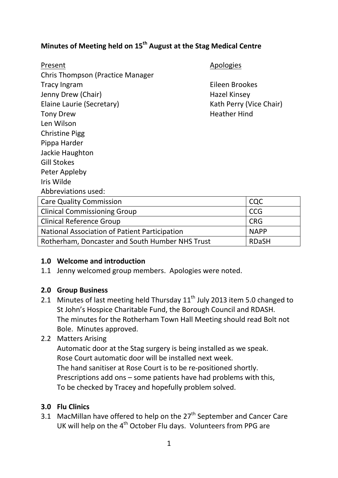# **Minutes of Meeting held on 15th August at the Stag Medical Centre**

| Present                                         | Apologies               |              |
|-------------------------------------------------|-------------------------|--------------|
| <b>Chris Thompson (Practice Manager</b>         |                         |              |
| <b>Tracy Ingram</b>                             | Eileen Brookes          |              |
| Jenny Drew (Chair)                              | <b>Hazel Kinsey</b>     |              |
| Elaine Laurie (Secretary)                       | Kath Perry (Vice Chair) |              |
| <b>Tony Drew</b>                                | <b>Heather Hind</b>     |              |
| Len Wilson                                      |                         |              |
| <b>Christine Pigg</b>                           |                         |              |
| Pippa Harder                                    |                         |              |
| Jackie Haughton                                 |                         |              |
| <b>Gill Stokes</b>                              |                         |              |
| Peter Appleby                                   |                         |              |
| Iris Wilde                                      |                         |              |
| Abbreviations used:                             |                         |              |
| <b>Care Quality Commission</b>                  |                         | <b>CQC</b>   |
| <b>Clinical Commissioning Group</b>             |                         | <b>CCG</b>   |
| <b>Clinical Reference Group</b>                 |                         | <b>CRG</b>   |
| National Association of Patient Participation   |                         | <b>NAPP</b>  |
| Rotherham, Doncaster and South Humber NHS Trust |                         | <b>RDaSH</b> |

#### **1.0 Welcome and introduction**

1.1 Jenny welcomed group members. Apologies were noted.

#### **2.0 Group Business**

2.1 Minutes of last meeting held Thursday  $11^{th}$  July 2013 item 5.0 changed to St John's Hospice Charitable Fund, the Borough Council and RDASH. The minutes for the Rotherham Town Hall Meeting should read Bolt not Bole. Minutes approved.

### 2.2 Matters Arising

Automatic door at the Stag surgery is being installed as we speak. Rose Court automatic door will be installed next week. The hand sanitiser at Rose Court is to be re-positioned shortly. Prescriptions add ons – some patients have had problems with this, To be checked by Tracey and hopefully problem solved.

#### **3.0 Flu Clinics**

3.1 MacMillan have offered to help on the  $27<sup>th</sup>$  September and Cancer Care UK will help on the  $4<sup>th</sup>$  October Flu days. Volunteers from PPG are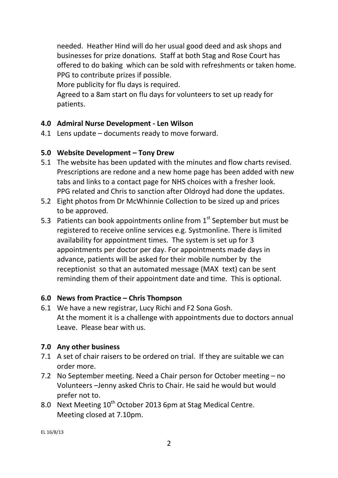needed. Heather Hind will do her usual good deed and ask shops and businesses for prize donations. Staff at both Stag and Rose Court has offered to do baking which can be sold with refreshments or taken home. PPG to contribute prizes if possible.

More publicity for flu days is required.

Agreed to a 8am start on flu days for volunteers to set up ready for patients.

# **4.0 Admiral Nurse Development - Len Wilson**

4.1 Lens update – documents ready to move forward.

# **5.0 Website Development – Tony Drew**

- 5.1 The website has been updated with the minutes and flow charts revised. Prescriptions are redone and a new home page has been added with new tabs and links to a contact page for NHS choices with a fresher look. PPG related and Chris to sanction after Oldroyd had done the updates.
- 5.2 Eight photos from Dr McWhinnie Collection to be sized up and prices to be approved.
- 5.3 Patients can book appointments online from  $1<sup>st</sup>$  September but must be registered to receive online services e.g. Systmonline. There is limited availability for appointment times. The system is set up for 3 appointments per doctor per day. For appointments made days in advance, patients will be asked for their mobile number by the receptionist so that an automated message (MAX text) can be sent reminding them of their appointment date and time. This is optional.

## **6.0 News from Practice – Chris Thompson**

6.1 We have a new registrar, Lucy Richi and F2 Sona Gosh. At the moment it is a challenge with appointments due to doctors annual Leave. Please bear with us.

## **7.0 Any other business**

- 7.1 A set of chair raisers to be ordered on trial. If they are suitable we can order more.
- 7.2 No September meeting. Need a Chair person for October meeting no Volunteers –Jenny asked Chris to Chair. He said he would but would prefer not to.
- 8.0 Next Meeting  $10^{th}$  October 2013 6pm at Stag Medical Centre. Meeting closed at 7.10pm.

EL 16/8/13